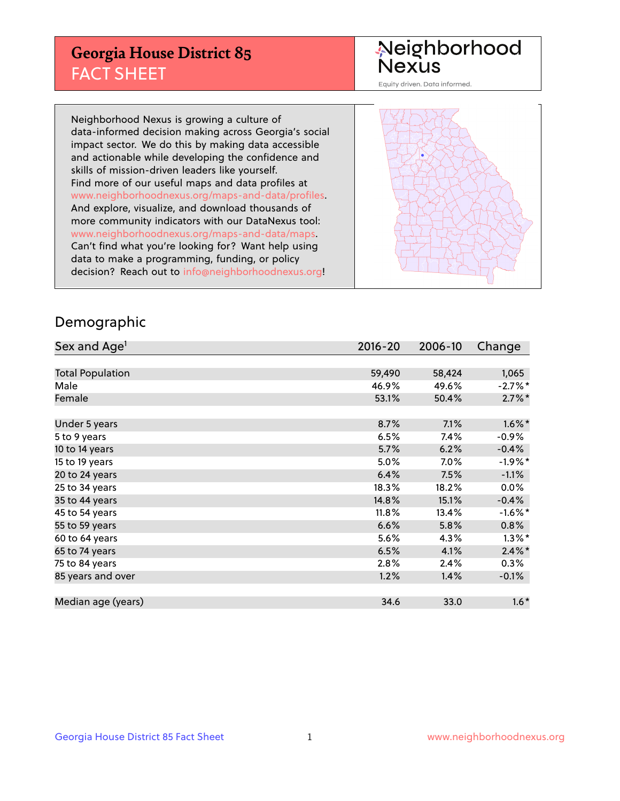## **Georgia House District 85** FACT SHEET

# Neighborhood<br>Nexus

Equity driven. Data informed.

Neighborhood Nexus is growing a culture of data-informed decision making across Georgia's social impact sector. We do this by making data accessible and actionable while developing the confidence and skills of mission-driven leaders like yourself. Find more of our useful maps and data profiles at www.neighborhoodnexus.org/maps-and-data/profiles. And explore, visualize, and download thousands of more community indicators with our DataNexus tool: www.neighborhoodnexus.org/maps-and-data/maps. Can't find what you're looking for? Want help using data to make a programming, funding, or policy decision? Reach out to [info@neighborhoodnexus.org!](mailto:info@neighborhoodnexus.org)



### Demographic

| Sex and Age <sup>1</sup> | $2016 - 20$ | 2006-10 | Change               |
|--------------------------|-------------|---------|----------------------|
|                          |             |         |                      |
| <b>Total Population</b>  | 59,490      | 58,424  | 1,065                |
| Male                     | 46.9%       | 49.6%   | $-2.7%$ *            |
| Female                   | 53.1%       | 50.4%   | $2.7\%$ *            |
|                          |             |         |                      |
| Under 5 years            | 8.7%        | 7.1%    | $1.6\%$ *            |
| 5 to 9 years             | 6.5%        | 7.4%    | $-0.9\%$             |
| 10 to 14 years           | 5.7%        | 6.2%    | $-0.4%$              |
| 15 to 19 years           | 5.0%        | $7.0\%$ | $-1.9%$ *            |
| 20 to 24 years           | 6.4%        | 7.5%    | $-1.1%$              |
| 25 to 34 years           | 18.3%       | 18.2%   | $0.0\%$              |
| 35 to 44 years           | 14.8%       | 15.1%   | $-0.4%$              |
| 45 to 54 years           | 11.8%       | 13.4%   | $-1.6%$ *            |
| 55 to 59 years           | 6.6%        | 5.8%    | 0.8%                 |
| 60 to 64 years           | 5.6%        | 4.3%    | $1.3\%$ <sup>*</sup> |
| 65 to 74 years           | 6.5%        | 4.1%    | $2.4\%$ *            |
| 75 to 84 years           | 2.8%        | 2.4%    | $0.3\%$              |
| 85 years and over        | 1.2%        | 1.4%    | $-0.1%$              |
|                          |             |         |                      |
| Median age (years)       | 34.6        | 33.0    | $1.6*$               |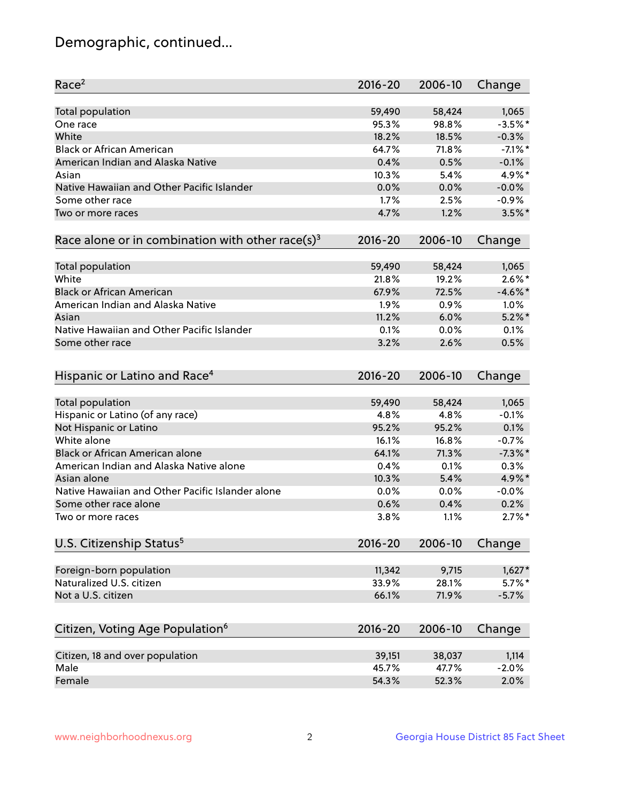## Demographic, continued...

| Race <sup>2</sup>                                            | $2016 - 20$ | 2006-10 | Change     |
|--------------------------------------------------------------|-------------|---------|------------|
| <b>Total population</b>                                      | 59,490      | 58,424  | 1,065      |
| One race                                                     | 95.3%       | 98.8%   | $-3.5%$ *  |
| White                                                        | 18.2%       | 18.5%   | $-0.3%$    |
| <b>Black or African American</b>                             | 64.7%       | 71.8%   | $-7.1\%$ * |
| American Indian and Alaska Native                            | 0.4%        | 0.5%    | $-0.1%$    |
| Asian                                                        | 10.3%       | 5.4%    | 4.9%*      |
| Native Hawaiian and Other Pacific Islander                   | 0.0%        | 0.0%    | $-0.0%$    |
| Some other race                                              | 1.7%        | 2.5%    | $-0.9%$    |
| Two or more races                                            | 4.7%        | 1.2%    | $3.5\%$ *  |
| Race alone or in combination with other race(s) <sup>3</sup> | $2016 - 20$ | 2006-10 | Change     |
| Total population                                             | 59,490      | 58,424  | 1,065      |
| White                                                        | 21.8%       | 19.2%   | $2.6\%$ *  |
| <b>Black or African American</b>                             | 67.9%       | 72.5%   | $-4.6\%$ * |
| American Indian and Alaska Native                            | 1.9%        | 0.9%    | 1.0%       |
| Asian                                                        | 11.2%       | 6.0%    | $5.2\%$ *  |
| Native Hawaiian and Other Pacific Islander                   | 0.1%        | 0.0%    | 0.1%       |
| Some other race                                              | 3.2%        | 2.6%    | 0.5%       |
| Hispanic or Latino and Race <sup>4</sup>                     | $2016 - 20$ | 2006-10 | Change     |
| Total population                                             | 59,490      | 58,424  | 1,065      |
| Hispanic or Latino (of any race)                             | 4.8%        | 4.8%    | $-0.1%$    |
| Not Hispanic or Latino                                       | 95.2%       | 95.2%   | 0.1%       |
| White alone                                                  | 16.1%       | 16.8%   | $-0.7%$    |
| Black or African American alone                              | 64.1%       | 71.3%   | $-7.3\%$ * |
| American Indian and Alaska Native alone                      | 0.4%        | 0.1%    | 0.3%       |
| Asian alone                                                  | 10.3%       | 5.4%    | $4.9\%$ *  |
| Native Hawaiian and Other Pacific Islander alone             | 0.0%        | 0.0%    | $-0.0%$    |
| Some other race alone                                        | 0.6%        | 0.4%    | 0.2%       |
| Two or more races                                            | 3.8%        | 1.1%    | $2.7\%$ *  |
| U.S. Citizenship Status <sup>5</sup>                         | $2016 - 20$ | 2006-10 | Change     |
|                                                              |             |         |            |
| Foreign-born population                                      | 11,342      | 9,715   | $1,627*$   |
| Naturalized U.S. citizen                                     | 33.9%       | 28.1%   | $5.7\%$ *  |
| Not a U.S. citizen                                           | 66.1%       | 71.9%   | $-5.7%$    |
| Citizen, Voting Age Population <sup>6</sup>                  | 2016-20     | 2006-10 | Change     |
| Citizen, 18 and over population                              | 39,151      | 38,037  | 1,114      |
| Male                                                         | 45.7%       | 47.7%   | $-2.0%$    |
| Female                                                       | 54.3%       | 52.3%   | 2.0%       |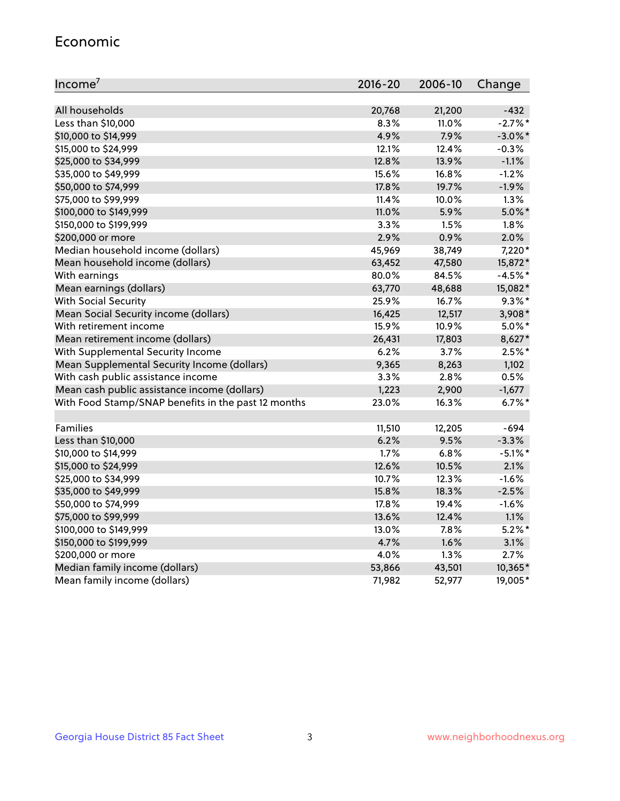#### Economic

| Income <sup>7</sup>                                 | $2016 - 20$ | 2006-10 | Change     |
|-----------------------------------------------------|-------------|---------|------------|
|                                                     |             |         |            |
| All households                                      | 20,768      | 21,200  | $-432$     |
| Less than \$10,000                                  | 8.3%        | 11.0%   | $-2.7%$    |
| \$10,000 to \$14,999                                | 4.9%        | 7.9%    | $-3.0\%$ * |
| \$15,000 to \$24,999                                | 12.1%       | 12.4%   | $-0.3%$    |
| \$25,000 to \$34,999                                | 12.8%       | 13.9%   | $-1.1%$    |
| \$35,000 to \$49,999                                | 15.6%       | 16.8%   | $-1.2%$    |
| \$50,000 to \$74,999                                | 17.8%       | 19.7%   | $-1.9%$    |
| \$75,000 to \$99,999                                | 11.4%       | 10.0%   | 1.3%       |
| \$100,000 to \$149,999                              | 11.0%       | 5.9%    | $5.0\%$ *  |
| \$150,000 to \$199,999                              | 3.3%        | 1.5%    | 1.8%       |
| \$200,000 or more                                   | 2.9%        | 0.9%    | 2.0%       |
| Median household income (dollars)                   | 45,969      | 38,749  | 7,220*     |
| Mean household income (dollars)                     | 63,452      | 47,580  | 15,872*    |
| With earnings                                       | 80.0%       | 84.5%   | $-4.5%$ *  |
| Mean earnings (dollars)                             | 63,770      | 48,688  | 15,082*    |
| <b>With Social Security</b>                         | 25.9%       | 16.7%   | $9.3\%$ *  |
| Mean Social Security income (dollars)               | 16,425      | 12,517  | 3,908*     |
| With retirement income                              | 15.9%       | 10.9%   | $5.0\%$ *  |
| Mean retirement income (dollars)                    | 26,431      | 17,803  | 8,627*     |
| With Supplemental Security Income                   | $6.2\%$     | $3.7\%$ | $2.5%$ *   |
| Mean Supplemental Security Income (dollars)         | 9,365       | 8,263   | 1,102      |
| With cash public assistance income                  | 3.3%        | 2.8%    | 0.5%       |
| Mean cash public assistance income (dollars)        | 1,223       | 2,900   | $-1,677$   |
| With Food Stamp/SNAP benefits in the past 12 months | 23.0%       | 16.3%   | $6.7%$ *   |
|                                                     |             |         |            |
| Families                                            | 11,510      | 12,205  | $-694$     |
| Less than \$10,000                                  | 6.2%        | 9.5%    | $-3.3%$    |
| \$10,000 to \$14,999                                | 1.7%        | 6.8%    | $-5.1\%$ * |
| \$15,000 to \$24,999                                | 12.6%       | 10.5%   | 2.1%       |
| \$25,000 to \$34,999                                | 10.7%       | 12.3%   | $-1.6%$    |
| \$35,000 to \$49,999                                | 15.8%       | 18.3%   | $-2.5%$    |
| \$50,000 to \$74,999                                | 17.8%       | 19.4%   | $-1.6%$    |
| \$75,000 to \$99,999                                | 13.6%       | 12.4%   | 1.1%       |
| \$100,000 to \$149,999                              | 13.0%       | 7.8%    | $5.2\%$ *  |
| \$150,000 to \$199,999                              | 4.7%        | 1.6%    | 3.1%       |
| \$200,000 or more                                   | 4.0%        | 1.3%    | 2.7%       |
| Median family income (dollars)                      | 53,866      | 43,501  | 10,365*    |
| Mean family income (dollars)                        | 71,982      | 52,977  | 19,005*    |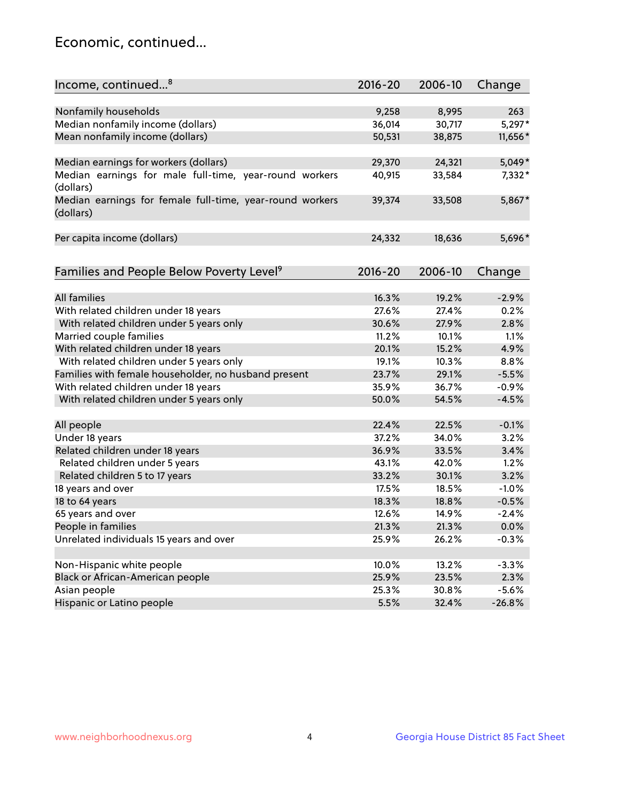## Economic, continued...

| Income, continued <sup>8</sup>                                        | $2016 - 20$ | 2006-10 | Change   |
|-----------------------------------------------------------------------|-------------|---------|----------|
|                                                                       |             |         |          |
| Nonfamily households                                                  | 9,258       | 8,995   | 263      |
| Median nonfamily income (dollars)                                     | 36,014      | 30,717  | 5,297*   |
| Mean nonfamily income (dollars)                                       | 50,531      | 38,875  | 11,656*  |
| Median earnings for workers (dollars)                                 | 29,370      | 24,321  | $5,049*$ |
| Median earnings for male full-time, year-round workers                | 40,915      | 33,584  | 7,332*   |
| (dollars)                                                             |             |         |          |
| Median earnings for female full-time, year-round workers<br>(dollars) | 39,374      | 33,508  | 5,867*   |
| Per capita income (dollars)                                           | 24,332      | 18,636  | 5,696*   |
|                                                                       |             |         |          |
| Families and People Below Poverty Level <sup>9</sup>                  | $2016 - 20$ | 2006-10 | Change   |
|                                                                       |             |         |          |
| <b>All families</b>                                                   | 16.3%       | 19.2%   | $-2.9%$  |
| With related children under 18 years                                  | 27.6%       | 27.4%   | 0.2%     |
| With related children under 5 years only                              | 30.6%       | 27.9%   | 2.8%     |
| Married couple families                                               | 11.2%       | 10.1%   | 1.1%     |
| With related children under 18 years                                  | 20.1%       | 15.2%   | 4.9%     |
| With related children under 5 years only                              | 19.1%       | 10.3%   | 8.8%     |
| Families with female householder, no husband present                  | 23.7%       | 29.1%   | $-5.5%$  |
| With related children under 18 years                                  | 35.9%       | 36.7%   | $-0.9%$  |
| With related children under 5 years only                              | 50.0%       | 54.5%   | $-4.5%$  |
| All people                                                            | 22.4%       | 22.5%   | $-0.1%$  |
| Under 18 years                                                        | 37.2%       | 34.0%   | 3.2%     |
| Related children under 18 years                                       | 36.9%       | 33.5%   | 3.4%     |
| Related children under 5 years                                        | 43.1%       | 42.0%   | 1.2%     |
| Related children 5 to 17 years                                        | 33.2%       | 30.1%   | 3.2%     |
| 18 years and over                                                     | 17.5%       | 18.5%   | $-1.0%$  |
| 18 to 64 years                                                        | 18.3%       | 18.8%   | $-0.5%$  |
| 65 years and over                                                     | 12.6%       | 14.9%   | $-2.4%$  |
| People in families                                                    | 21.3%       | 21.3%   | 0.0%     |
| Unrelated individuals 15 years and over                               | 25.9%       | 26.2%   | $-0.3%$  |
|                                                                       |             |         |          |
| Non-Hispanic white people                                             | 10.0%       | 13.2%   | $-3.3%$  |
| Black or African-American people                                      | 25.9%       | 23.5%   | 2.3%     |
| Asian people                                                          | 25.3%       | 30.8%   | $-5.6%$  |
| Hispanic or Latino people                                             | 5.5%        | 32.4%   | $-26.8%$ |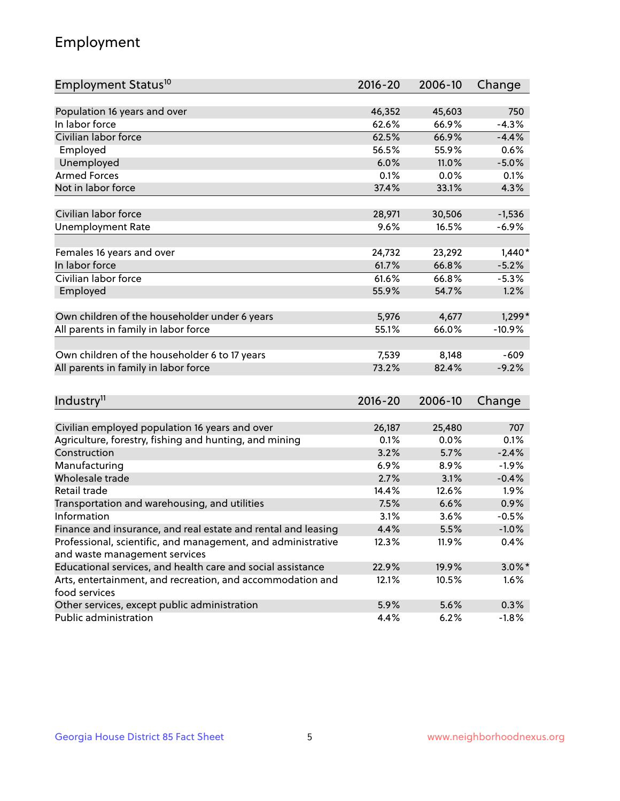## Employment

| Employment Status <sup>10</sup>                               | 2016-20     | 2006-10 | Change    |
|---------------------------------------------------------------|-------------|---------|-----------|
|                                                               |             |         |           |
| Population 16 years and over                                  | 46,352      | 45,603  | 750       |
| In labor force                                                | 62.6%       | 66.9%   | $-4.3%$   |
| Civilian labor force                                          | 62.5%       | 66.9%   | $-4.4%$   |
| Employed                                                      | 56.5%       | 55.9%   | 0.6%      |
| Unemployed                                                    | 6.0%        | 11.0%   | $-5.0%$   |
| <b>Armed Forces</b>                                           | 0.1%        | 0.0%    | 0.1%      |
| Not in labor force                                            | 37.4%       | 33.1%   | 4.3%      |
| Civilian labor force                                          | 28,971      | 30,506  | $-1,536$  |
| <b>Unemployment Rate</b>                                      | 9.6%        | 16.5%   | $-6.9%$   |
|                                                               |             |         |           |
| Females 16 years and over                                     | 24,732      | 23,292  | $1,440*$  |
| In labor force                                                | 61.7%       | 66.8%   | $-5.2%$   |
| Civilian labor force                                          | 61.6%       | 66.8%   | $-5.3%$   |
| Employed                                                      | 55.9%       | 54.7%   | 1.2%      |
| Own children of the householder under 6 years                 | 5,976       | 4,677   | $1,299*$  |
|                                                               | 55.1%       | 66.0%   | $-10.9%$  |
| All parents in family in labor force                          |             |         |           |
| Own children of the householder 6 to 17 years                 | 7,539       | 8,148   | $-609$    |
| All parents in family in labor force                          | 73.2%       | 82.4%   | $-9.2%$   |
|                                                               |             |         |           |
| Industry <sup>11</sup>                                        | $2016 - 20$ | 2006-10 | Change    |
|                                                               |             |         |           |
| Civilian employed population 16 years and over                | 26,187      | 25,480  | 707       |
| Agriculture, forestry, fishing and hunting, and mining        | 0.1%        | 0.0%    | 0.1%      |
| Construction                                                  | 3.2%        | 5.7%    | $-2.4%$   |
| Manufacturing                                                 | 6.9%        | 8.9%    | $-1.9%$   |
| Wholesale trade                                               | 2.7%        | 3.1%    | $-0.4%$   |
| Retail trade                                                  | 14.4%       | 12.6%   | 1.9%      |
| Transportation and warehousing, and utilities                 | 7.5%        | 6.6%    | 0.9%      |
| Information                                                   | 3.1%        | 3.6%    | $-0.5%$   |
| Finance and insurance, and real estate and rental and leasing | 4.4%        | 5.5%    | $-1.0%$   |
| Professional, scientific, and management, and administrative  | 12.3%       | 11.9%   | 0.4%      |
| and waste management services                                 |             |         |           |
| Educational services, and health care and social assistance   | 22.9%       | 19.9%   | $3.0\%$ * |
| Arts, entertainment, and recreation, and accommodation and    | 12.1%       | 10.5%   | 1.6%      |
| food services                                                 |             |         |           |
| Other services, except public administration                  | 5.9%        | 5.6%    | 0.3%      |
| Public administration                                         | 4.4%        | 6.2%    | $-1.8%$   |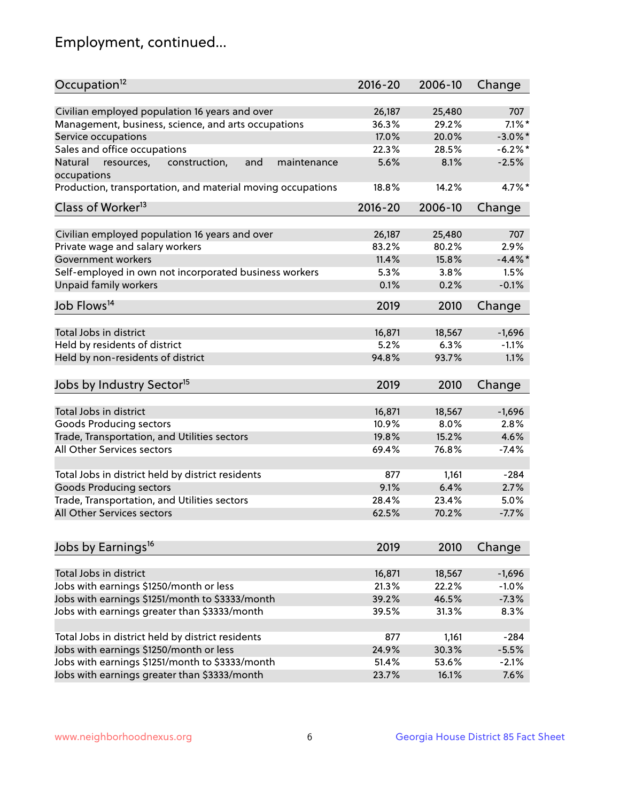## Employment, continued...

| Occupation <sup>12</sup>                                                    | $2016 - 20$ | 2006-10 | Change     |
|-----------------------------------------------------------------------------|-------------|---------|------------|
| Civilian employed population 16 years and over                              | 26,187      | 25,480  | 707        |
| Management, business, science, and arts occupations                         | 36.3%       | 29.2%   | $7.1\%$ *  |
| Service occupations                                                         | 17.0%       | 20.0%   | $-3.0\%$ * |
| Sales and office occupations                                                | 22.3%       | 28.5%   | $-6.2%$    |
|                                                                             |             |         |            |
| and<br>Natural<br>resources,<br>construction,<br>maintenance<br>occupations | 5.6%        | 8.1%    | $-2.5%$    |
| Production, transportation, and material moving occupations                 | 18.8%       | 14.2%   | $4.7\%$ *  |
| Class of Worker <sup>13</sup>                                               | $2016 - 20$ | 2006-10 | Change     |
|                                                                             |             |         |            |
| Civilian employed population 16 years and over                              | 26,187      | 25,480  | 707        |
| Private wage and salary workers                                             | 83.2%       | 80.2%   | 2.9%       |
| Government workers                                                          | 11.4%       | 15.8%   | $-4.4\%$ * |
| Self-employed in own not incorporated business workers                      | 5.3%        | 3.8%    | 1.5%       |
| Unpaid family workers                                                       | 0.1%        | 0.2%    | $-0.1%$    |
| Job Flows <sup>14</sup>                                                     | 2019        | 2010    | Change     |
|                                                                             |             |         |            |
| Total Jobs in district                                                      | 16,871      | 18,567  | $-1,696$   |
| Held by residents of district                                               | 5.2%        | 6.3%    | $-1.1%$    |
| Held by non-residents of district                                           | 94.8%       | 93.7%   | 1.1%       |
| Jobs by Industry Sector <sup>15</sup>                                       | 2019        | 2010    | Change     |
|                                                                             |             |         |            |
| Total Jobs in district                                                      | 16,871      | 18,567  | $-1,696$   |
| Goods Producing sectors                                                     | 10.9%       | 8.0%    | 2.8%       |
| Trade, Transportation, and Utilities sectors                                | 19.8%       | 15.2%   | 4.6%       |
| All Other Services sectors                                                  | 69.4%       | 76.8%   | $-7.4%$    |
|                                                                             |             |         |            |
| Total Jobs in district held by district residents                           | 877         | 1,161   | $-284$     |
| <b>Goods Producing sectors</b>                                              | 9.1%        | 6.4%    | 2.7%       |
| Trade, Transportation, and Utilities sectors                                | 28.4%       | 23.4%   | 5.0%       |
| All Other Services sectors                                                  | 62.5%       | 70.2%   | $-7.7%$    |
|                                                                             |             |         |            |
| Jobs by Earnings <sup>16</sup>                                              | 2019        | 2010    | Change     |
|                                                                             |             |         |            |
| Total Jobs in district                                                      | 16,871      | 18,567  | $-1,696$   |
| Jobs with earnings \$1250/month or less                                     | 21.3%       | 22.2%   | $-1.0%$    |
| Jobs with earnings \$1251/month to \$3333/month                             | 39.2%       | 46.5%   | $-7.3%$    |
| Jobs with earnings greater than \$3333/month                                | 39.5%       | 31.3%   | 8.3%       |
| Total Jobs in district held by district residents                           | 877         | 1,161   | $-284$     |
| Jobs with earnings \$1250/month or less                                     | 24.9%       | 30.3%   | $-5.5%$    |
| Jobs with earnings \$1251/month to \$3333/month                             | 51.4%       | 53.6%   | $-2.1%$    |
| Jobs with earnings greater than \$3333/month                                | 23.7%       | 16.1%   | 7.6%       |
|                                                                             |             |         |            |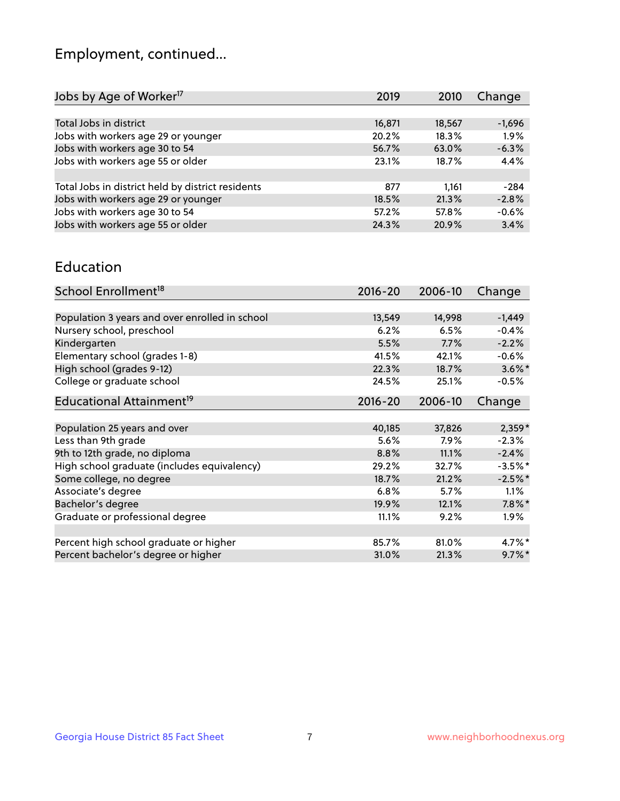## Employment, continued...

| Jobs by Age of Worker <sup>17</sup>               | 2019   | 2010   | Change   |
|---------------------------------------------------|--------|--------|----------|
|                                                   |        |        |          |
| Total Jobs in district                            | 16,871 | 18,567 | $-1,696$ |
| Jobs with workers age 29 or younger               | 20.2%  | 18.3%  | 1.9%     |
| Jobs with workers age 30 to 54                    | 56.7%  | 63.0%  | $-6.3%$  |
| Jobs with workers age 55 or older                 | 23.1%  | 18.7%  | 4.4%     |
|                                                   |        |        |          |
| Total Jobs in district held by district residents | 877    | 1.161  | $-284$   |
| Jobs with workers age 29 or younger               | 18.5%  | 21.3%  | $-2.8%$  |
| Jobs with workers age 30 to 54                    | 57.2%  | 57.8%  | $-0.6%$  |
| Jobs with workers age 55 or older                 | 24.3%  | 20.9%  | 3.4%     |
|                                                   |        |        |          |

#### Education

| School Enrollment <sup>18</sup>                | $2016 - 20$ | 2006-10 | Change     |
|------------------------------------------------|-------------|---------|------------|
|                                                |             |         |            |
| Population 3 years and over enrolled in school | 13,549      | 14,998  | $-1,449$   |
| Nursery school, preschool                      | 6.2%        | 6.5%    | $-0.4%$    |
| Kindergarten                                   | 5.5%        | 7.7%    | $-2.2%$    |
| Elementary school (grades 1-8)                 | 41.5%       | 42.1%   | $-0.6%$    |
| High school (grades 9-12)                      | 22.3%       | 18.7%   | $3.6\%$ *  |
| College or graduate school                     | 24.5%       | 25.1%   | $-0.5%$    |
| Educational Attainment <sup>19</sup>           | $2016 - 20$ | 2006-10 | Change     |
|                                                |             |         |            |
| Population 25 years and over                   | 40,185      | 37,826  | $2,359*$   |
| Less than 9th grade                            | 5.6%        | $7.9\%$ | $-2.3%$    |
| 9th to 12th grade, no diploma                  | 8.8%        | 11.1%   | $-2.4%$    |
| High school graduate (includes equivalency)    | 29.2%       | 32.7%   | $-3.5\%$ * |
| Some college, no degree                        | 18.7%       | 21.2%   | $-2.5%$ *  |
| Associate's degree                             | 6.8%        | 5.7%    | 1.1%       |
| Bachelor's degree                              | 19.9%       | 12.1%   | $7.8\%$ *  |
| Graduate or professional degree                | 11.1%       | 9.2%    | $1.9\%$    |
|                                                |             |         |            |
| Percent high school graduate or higher         | 85.7%       | 81.0%   | $4.7\%$ *  |
| Percent bachelor's degree or higher            | 31.0%       | 21.3%   | $9.7\%$ *  |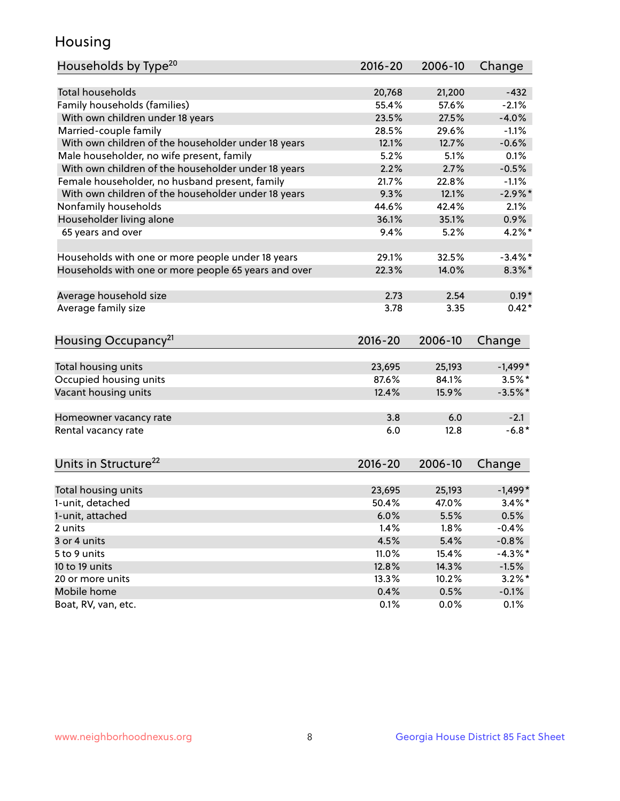## Housing

| Households by Type <sup>20</sup>                     | 2016-20     | 2006-10 | Change     |
|------------------------------------------------------|-------------|---------|------------|
|                                                      |             |         |            |
| <b>Total households</b>                              | 20,768      | 21,200  | $-432$     |
| Family households (families)                         | 55.4%       | 57.6%   | $-2.1%$    |
| With own children under 18 years                     | 23.5%       | 27.5%   | $-4.0%$    |
| Married-couple family                                | 28.5%       | 29.6%   | $-1.1%$    |
| With own children of the householder under 18 years  | 12.1%       | 12.7%   | $-0.6%$    |
| Male householder, no wife present, family            | 5.2%        | 5.1%    | 0.1%       |
| With own children of the householder under 18 years  | 2.2%        | 2.7%    | $-0.5%$    |
| Female householder, no husband present, family       | 21.7%       | 22.8%   | $-1.1%$    |
| With own children of the householder under 18 years  | 9.3%        | 12.1%   | $-2.9\%$ * |
| Nonfamily households                                 | 44.6%       | 42.4%   | 2.1%       |
| Householder living alone                             | 36.1%       | 35.1%   | 0.9%       |
| 65 years and over                                    | 9.4%        | 5.2%    | $4.2\%$ *  |
|                                                      |             |         |            |
| Households with one or more people under 18 years    | 29.1%       | 32.5%   | $-3.4\%$ * |
| Households with one or more people 65 years and over | 22.3%       | 14.0%   | $8.3\%$ *  |
|                                                      |             |         |            |
| Average household size                               | 2.73        | 2.54    | $0.19*$    |
| Average family size                                  | 3.78        | 3.35    | $0.42*$    |
|                                                      |             |         |            |
| Housing Occupancy <sup>21</sup>                      | $2016 - 20$ | 2006-10 | Change     |
|                                                      |             |         |            |
| Total housing units                                  | 23,695      | 25,193  | $-1,499*$  |
| Occupied housing units                               | 87.6%       | 84.1%   | $3.5\%$ *  |
| Vacant housing units                                 | 12.4%       | 15.9%   | $-3.5%$ *  |
|                                                      |             |         |            |
| Homeowner vacancy rate                               | 3.8         | 6.0     | $-2.1$     |
| Rental vacancy rate                                  | 6.0         | 12.8    | $-6.8*$    |
|                                                      |             |         |            |
|                                                      |             |         |            |
| Units in Structure <sup>22</sup>                     | $2016 - 20$ | 2006-10 | Change     |
| Total housing units                                  | 23,695      | 25,193  | $-1,499*$  |
| 1-unit, detached                                     | 50.4%       | 47.0%   | $3.4\%$ *  |
|                                                      |             |         |            |
| 1-unit, attached                                     | 6.0%        | 5.5%    | 0.5%       |
| 2 units                                              | 1.4%        | 1.8%    | $-0.4%$    |
| 3 or 4 units                                         | 4.5%        | 5.4%    | $-0.8%$    |
| 5 to 9 units                                         | 11.0%       | 15.4%   | $-4.3\%$ * |
| 10 to 19 units                                       | 12.8%       | 14.3%   | $-1.5%$    |
| 20 or more units                                     | 13.3%       | 10.2%   | $3.2\%$ *  |
| Mobile home                                          | 0.4%        | 0.5%    | $-0.1%$    |
| Boat, RV, van, etc.                                  | 0.1%        | 0.0%    | 0.1%       |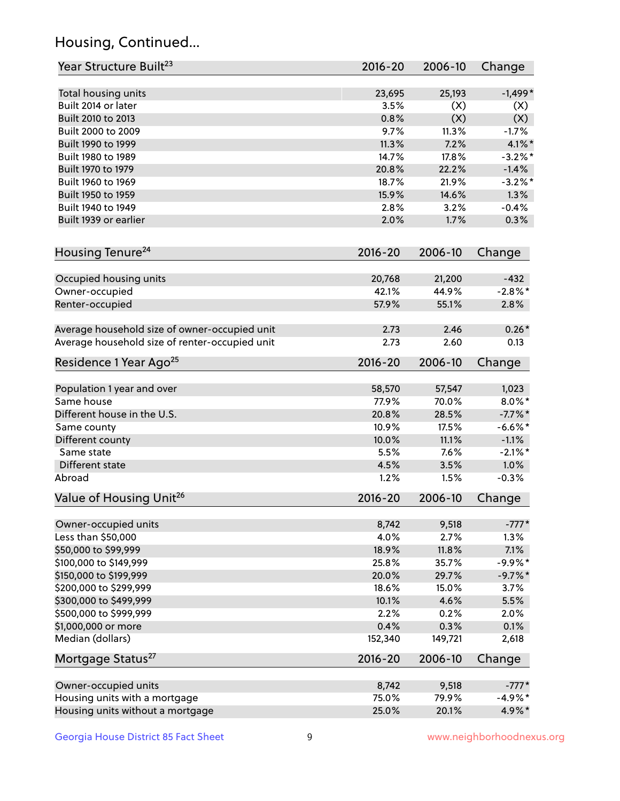## Housing, Continued...

| Year Structure Built <sup>23</sup>             | $2016 - 20$ | 2006-10 | Change     |
|------------------------------------------------|-------------|---------|------------|
| Total housing units                            | 23,695      | 25,193  | $-1,499*$  |
| Built 2014 or later                            | 3.5%        | (X)     | (X)        |
| Built 2010 to 2013                             | 0.8%        | (X)     | (X)        |
| Built 2000 to 2009                             | 9.7%        | 11.3%   | $-1.7%$    |
| Built 1990 to 1999                             | 11.3%       | 7.2%    | $4.1\%$ *  |
| Built 1980 to 1989                             | 14.7%       | 17.8%   | $-3.2\%$ * |
| Built 1970 to 1979                             | 20.8%       | 22.2%   | $-1.4%$    |
| Built 1960 to 1969                             | 18.7%       | 21.9%   | $-3.2%$ *  |
| Built 1950 to 1959                             | 15.9%       | 14.6%   | 1.3%       |
| Built 1940 to 1949                             | 2.8%        | 3.2%    | $-0.4%$    |
| Built 1939 or earlier                          | 2.0%        | 1.7%    | 0.3%       |
| Housing Tenure <sup>24</sup>                   | $2016 - 20$ | 2006-10 | Change     |
| Occupied housing units                         | 20,768      | 21,200  | $-432$     |
| Owner-occupied                                 | 42.1%       | 44.9%   | $-2.8\%$ * |
| Renter-occupied                                | 57.9%       | 55.1%   | 2.8%       |
| Average household size of owner-occupied unit  | 2.73        | 2.46    | $0.26*$    |
| Average household size of renter-occupied unit | 2.73        | 2.60    | 0.13       |
| Residence 1 Year Ago <sup>25</sup>             | 2016-20     | 2006-10 | Change     |
| Population 1 year and over                     | 58,570      | 57,547  | 1,023      |
| Same house                                     | 77.9%       | 70.0%   | $8.0\%$ *  |
| Different house in the U.S.                    | 20.8%       | 28.5%   | $-7.7\%$ * |
| Same county                                    | 10.9%       | 17.5%   | $-6.6\%$ * |
| Different county                               | 10.0%       | 11.1%   | $-1.1%$    |
| Same state                                     | 5.5%        | 7.6%    | $-2.1\%$ * |
| Different state                                | 4.5%        | 3.5%    | 1.0%       |
| Abroad                                         | 1.2%        | 1.5%    | $-0.3%$    |
| Value of Housing Unit <sup>26</sup>            | $2016 - 20$ | 2006-10 | Change     |
| Owner-occupied units                           | 8,742       | 9,518   | $-777*$    |
| Less than \$50,000                             | 4.0%        | 2.7%    | 1.3%       |
| \$50,000 to \$99,999                           | 18.9%       | 11.8%   | 7.1%       |
| \$100,000 to \$149,999                         | 25.8%       | 35.7%   | $-9.9%$ *  |
| \$150,000 to \$199,999                         | 20.0%       | 29.7%   | $-9.7%$ *  |
| \$200,000 to \$299,999                         | 18.6%       | 15.0%   | 3.7%       |
| \$300,000 to \$499,999                         | 10.1%       | 4.6%    | 5.5%       |
| \$500,000 to \$999,999                         | 2.2%        | 0.2%    | 2.0%       |
| \$1,000,000 or more                            | 0.4%        | 0.3%    | 0.1%       |
| Median (dollars)                               | 152,340     | 149,721 | 2,618      |
| Mortgage Status <sup>27</sup>                  | $2016 - 20$ | 2006-10 | Change     |
| Owner-occupied units                           | 8,742       | 9,518   | $-777*$    |
| Housing units with a mortgage                  | 75.0%       | 79.9%   | $-4.9\%$ * |
| Housing units without a mortgage               | 25.0%       | 20.1%   | 4.9%*      |
|                                                |             |         |            |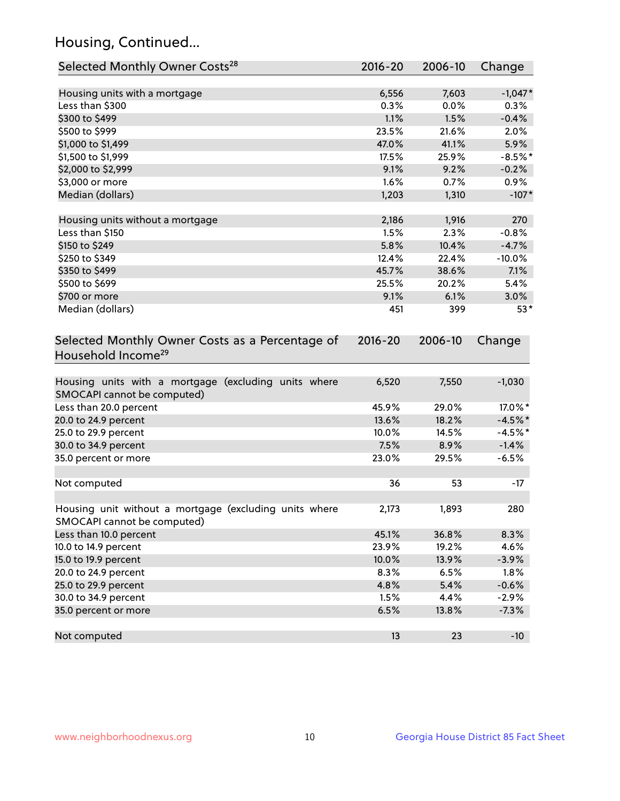## Housing, Continued...

| Selected Monthly Owner Costs <sup>28</sup>                                            | 2016-20 | 2006-10       | Change    |
|---------------------------------------------------------------------------------------|---------|---------------|-----------|
| Housing units with a mortgage                                                         | 6,556   | 7,603         | $-1,047*$ |
| Less than \$300                                                                       | 0.3%    | 0.0%          | 0.3%      |
| \$300 to \$499                                                                        | 1.1%    | 1.5%          | $-0.4%$   |
| \$500 to \$999                                                                        | 23.5%   | 21.6%         | 2.0%      |
| \$1,000 to \$1,499                                                                    | 47.0%   | 41.1%         | 5.9%      |
| \$1,500 to \$1,999                                                                    | 17.5%   | 25.9%         | $-8.5%$ * |
| \$2,000 to \$2,999                                                                    | 9.1%    | 9.2%          | $-0.2%$   |
| \$3,000 or more                                                                       | 1.6%    | 0.7%          | $0.9\%$   |
| Median (dollars)                                                                      | 1,203   | 1,310         | $-107*$   |
|                                                                                       | 2,186   |               | 270       |
| Housing units without a mortgage<br>Less than \$150                                   | 1.5%    | 1,916<br>2.3% | $-0.8%$   |
| \$150 to \$249                                                                        | 5.8%    | 10.4%         | $-4.7%$   |
| \$250 to \$349                                                                        | 12.4%   | 22.4%         | $-10.0%$  |
| \$350 to \$499                                                                        | 45.7%   | 38.6%         | 7.1%      |
| \$500 to \$699                                                                        | 25.5%   | 20.2%         | 5.4%      |
| \$700 or more                                                                         | 9.1%    | 6.1%          | 3.0%      |
| Median (dollars)                                                                      | 451     | 399           | $53*$     |
| Household Income <sup>29</sup>                                                        |         |               |           |
| Housing units with a mortgage (excluding units where<br>SMOCAPI cannot be computed)   | 6,520   | 7,550         | $-1,030$  |
| Less than 20.0 percent                                                                | 45.9%   | 29.0%         | 17.0%*    |
| 20.0 to 24.9 percent                                                                  | 13.6%   | 18.2%         | $-4.5%$ * |
| 25.0 to 29.9 percent                                                                  | 10.0%   | 14.5%         | $-4.5%$ * |
| 30.0 to 34.9 percent                                                                  | 7.5%    | 8.9%          | $-1.4%$   |
| 35.0 percent or more                                                                  | 23.0%   | 29.5%         | $-6.5%$   |
| Not computed                                                                          | 36      | 53            | $-17$     |
|                                                                                       |         |               |           |
| Housing unit without a mortgage (excluding units where<br>SMOCAPI cannot be computed) | 2,173   | 1,893         | 280       |
| Less than 10.0 percent                                                                | 45.1%   | 36.8%         | 8.3%      |
| 10.0 to 14.9 percent                                                                  | 23.9%   | 19.2%         | 4.6%      |
| 15.0 to 19.9 percent                                                                  | 10.0%   | 13.9%         | $-3.9%$   |
| 20.0 to 24.9 percent                                                                  | 8.3%    | 6.5%          | 1.8%      |
| 25.0 to 29.9 percent                                                                  | 4.8%    | 5.4%          | $-0.6%$   |
| 30.0 to 34.9 percent                                                                  | 1.5%    | 4.4%          | $-2.9%$   |
| 35.0 percent or more                                                                  | 6.5%    | 13.8%         | $-7.3%$   |
| Not computed                                                                          | 13      | 23            | $-10$     |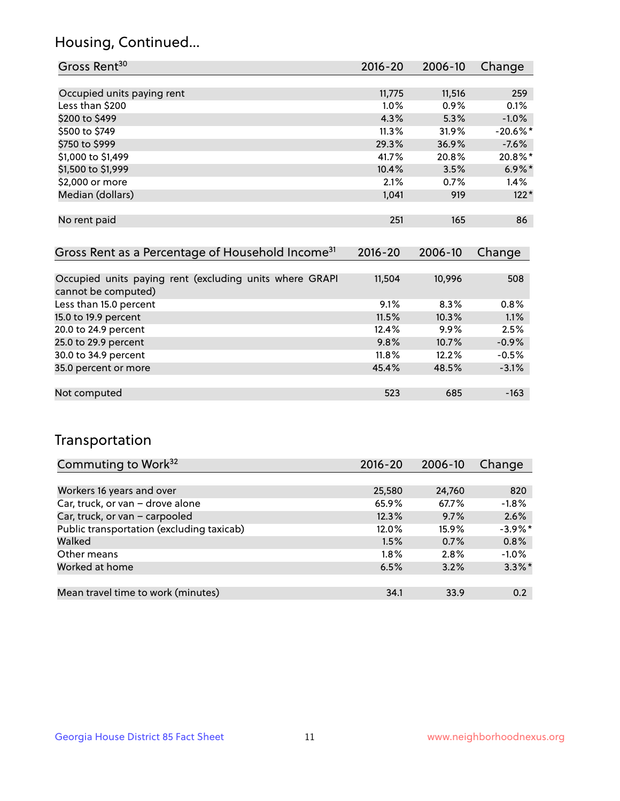## Housing, Continued...

| Gross Rent <sup>30</sup>   | 2016-20 | 2006-10 | Change      |
|----------------------------|---------|---------|-------------|
|                            |         |         |             |
| Occupied units paying rent | 11,775  | 11,516  | 259         |
| Less than \$200            | 1.0%    | 0.9%    | 0.1%        |
| \$200 to \$499             | 4.3%    | 5.3%    | $-1.0%$     |
| \$500 to \$749             | 11.3%   | 31.9%   | $-20.6\%$ * |
| \$750 to \$999             | 29.3%   | 36.9%   | $-7.6%$     |
| \$1,000 to \$1,499         | 41.7%   | 20.8%   | 20.8%*      |
| \$1,500 to \$1,999         | 10.4%   | 3.5%    | $6.9\%$ *   |
| \$2,000 or more            | 2.1%    | 0.7%    | 1.4%        |
| Median (dollars)           | 1,041   | 919     | $122*$      |
|                            |         |         |             |
| No rent paid               | 251     | 165     | 86          |

| Gross Rent as a Percentage of Household Income <sup>31</sup>                   | $2016 - 20$ | 2006-10 | Change  |
|--------------------------------------------------------------------------------|-------------|---------|---------|
|                                                                                |             |         |         |
| Occupied units paying rent (excluding units where GRAPI<br>cannot be computed) | 11,504      | 10,996  | 508     |
| Less than 15.0 percent                                                         | 9.1%        | 8.3%    | 0.8%    |
| 15.0 to 19.9 percent                                                           | 11.5%       | 10.3%   | 1.1%    |
| 20.0 to 24.9 percent                                                           | 12.4%       | $9.9\%$ | 2.5%    |
| 25.0 to 29.9 percent                                                           | 9.8%        | 10.7%   | $-0.9%$ |
| 30.0 to 34.9 percent                                                           | 11.8%       | 12.2%   | $-0.5%$ |
| 35.0 percent or more                                                           | 45.4%       | 48.5%   | $-3.1%$ |
|                                                                                |             |         |         |
| Not computed                                                                   | 523         | 685     | $-163$  |

## Transportation

| Commuting to Work <sup>32</sup>           | $2016 - 20$ | 2006-10 | Change     |
|-------------------------------------------|-------------|---------|------------|
|                                           |             |         |            |
| Workers 16 years and over                 | 25,580      | 24,760  | 820        |
| Car, truck, or van - drove alone          | 65.9%       | 67.7%   | $-1.8%$    |
| Car, truck, or van - carpooled            | 12.3%       | 9.7%    | 2.6%       |
| Public transportation (excluding taxicab) | 12.0%       | 15.9%   | $-3.9\%$ * |
| Walked                                    | 1.5%        | 0.7%    | 0.8%       |
| Other means                               | $1.8\%$     | $2.8\%$ | $-1.0%$    |
| Worked at home                            | 6.5%        | 3.2%    | $3.3\%$ *  |
|                                           |             |         |            |
| Mean travel time to work (minutes)        | 34.1        | 33.9    | 0.2        |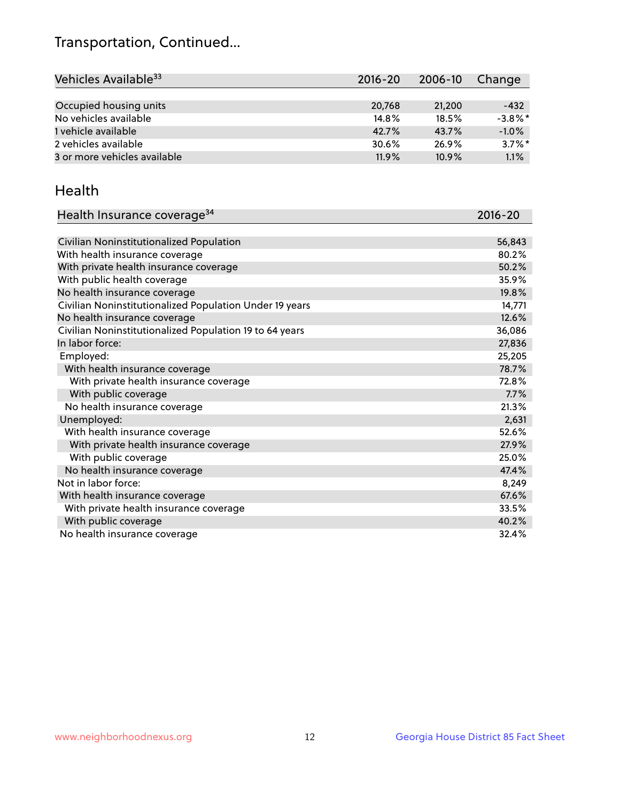## Transportation, Continued...

| Vehicles Available <sup>33</sup> | 2016-20 | 2006-10  | Change     |
|----------------------------------|---------|----------|------------|
|                                  |         |          |            |
| Occupied housing units           | 20,768  | 21,200   | $-432$     |
| No vehicles available            | 14.8%   | 18.5%    | $-3.8\%$ * |
| 1 vehicle available              | 42.7%   | 43.7%    | $-1.0%$    |
| 2 vehicles available             | 30.6%   | 26.9%    | $3.7\%$ *  |
| 3 or more vehicles available     | 11.9%   | $10.9\%$ | 1.1%       |

#### Health

| Health Insurance coverage <sup>34</sup>                 | 2016-20 |
|---------------------------------------------------------|---------|
|                                                         |         |
| Civilian Noninstitutionalized Population                | 56,843  |
| With health insurance coverage                          | 80.2%   |
| With private health insurance coverage                  | 50.2%   |
| With public health coverage                             | 35.9%   |
| No health insurance coverage                            | 19.8%   |
| Civilian Noninstitutionalized Population Under 19 years | 14,771  |
| No health insurance coverage                            | 12.6%   |
| Civilian Noninstitutionalized Population 19 to 64 years | 36,086  |
| In labor force:                                         | 27,836  |
| Employed:                                               | 25,205  |
| With health insurance coverage                          | 78.7%   |
| With private health insurance coverage                  | 72.8%   |
| With public coverage                                    | 7.7%    |
| No health insurance coverage                            | 21.3%   |
| Unemployed:                                             | 2,631   |
| With health insurance coverage                          | 52.6%   |
| With private health insurance coverage                  | 27.9%   |
| With public coverage                                    | 25.0%   |
| No health insurance coverage                            | 47.4%   |
| Not in labor force:                                     | 8,249   |
| With health insurance coverage                          | 67.6%   |
| With private health insurance coverage                  | 33.5%   |
| With public coverage                                    | 40.2%   |
| No health insurance coverage                            | 32.4%   |